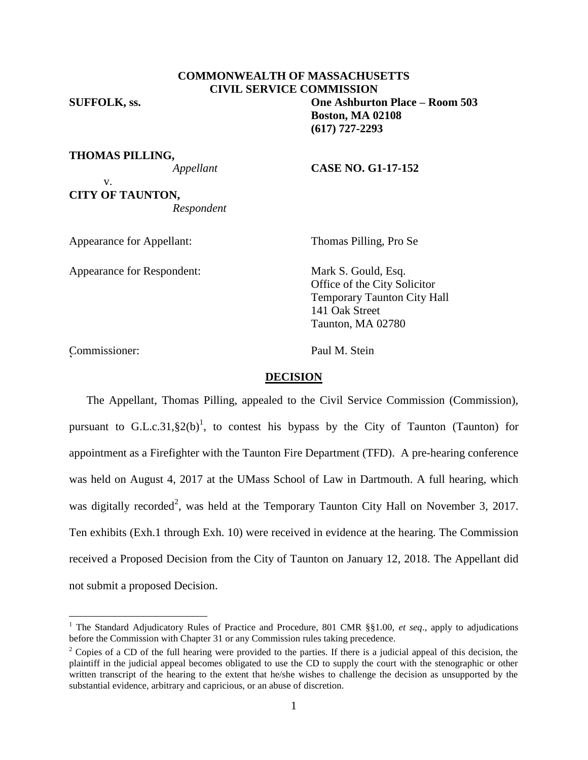# **COMMONWEALTH OF MASSACHUSETTS CIVIL SERVICE COMMISSION**

**SUFFOLK, ss. One Ashburton Place – Room 503 Boston, MA 02108 (617) 727-2293**

**THOMAS PILLING,**

#### *Appellant* **CASE NO. G1-17-152**

v. **CITY OF TAUNTON,** *Respondent*

Appearance for Appellant: Thomas Pilling, Pro Se

Appearance for Respondent: Mark S. Gould, Esq.

Office of the City Solicitor Temporary Taunton City Hall 141 Oak Street Taunton, MA 02780

Commissioner: Paul M. Stein <sup>2</sup>

 $\overline{a}$ 

# **DECISION**

The Appellant, Thomas Pilling, appealed to the Civil Service Commission (Commission), pursuant to G.L.c.31, $\S2(b)^1$ , to contest his bypass by the City of Taunton (Taunton) for appointment as a Firefighter with the Taunton Fire Department (TFD). A pre-hearing conference was held on August 4, 2017 at the UMass School of Law in Dartmouth. A full hearing, which was digitally recorded<sup>2</sup>, was held at the Temporary Taunton City Hall on November 3, 2017. Ten exhibits (Exh.1 through Exh. 10) were received in evidence at the hearing. The Commission received a Proposed Decision from the City of Taunton on January 12, 2018. The Appellant did not submit a proposed Decision.

<sup>1</sup> The Standard Adjudicatory Rules of Practice and Procedure, 801 CMR §§1.00, *et seq*., apply to adjudications before the Commission with Chapter 31 or any Commission rules taking precedence.

<sup>&</sup>lt;sup>2</sup> Copies of a CD of the full hearing were provided to the parties. If there is a judicial appeal of this decision, the plaintiff in the judicial appeal becomes obligated to use the CD to supply the court with the stenographic or other written transcript of the hearing to the extent that he/she wishes to challenge the decision as unsupported by the substantial evidence, arbitrary and capricious, or an abuse of discretion.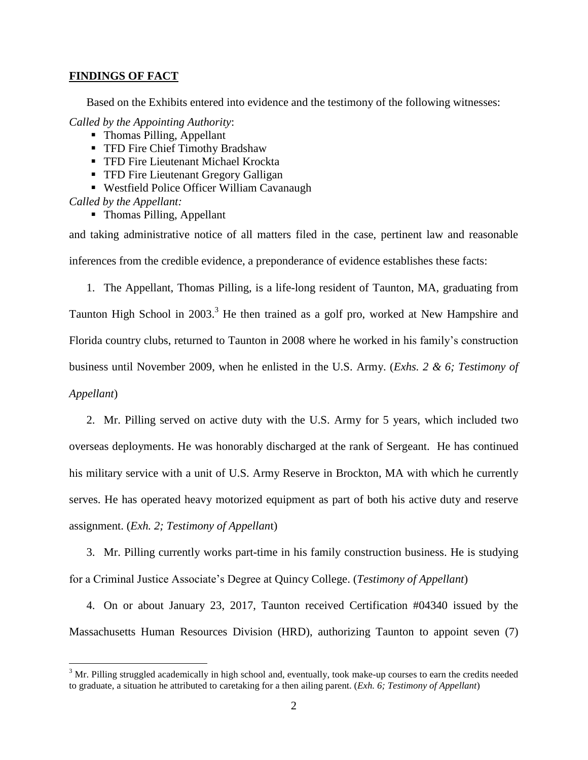## **FINDINGS OF FACT**

Based on the Exhibits entered into evidence and the testimony of the following witnesses:

*Called by the Appointing Authority*:

- Thomas Pilling, Appellant
- **TFD Fire Chief Timothy Bradshaw**
- **TFD Fire Lieutenant Michael Krockta**
- **TFD Fire Lieutenant Gregory Galligan**
- Westfield Police Officer William Cavanaugh

*Called by the Appellant:*

 $\overline{a}$ 

• Thomas Pilling, Appellant

and taking administrative notice of all matters filed in the case, pertinent law and reasonable inferences from the credible evidence, a preponderance of evidence establishes these facts:

1. The Appellant, Thomas Pilling, is a life-long resident of Taunton, MA, graduating from Taunton High School in 2003.<sup>3</sup> He then trained as a golf pro, worked at New Hampshire and Florida country clubs, returned to Taunton in 2008 where he worked in his family's construction business until November 2009, when he enlisted in the U.S. Army. (*Exhs. 2 & 6; Testimony of Appellant*)

2. Mr. Pilling served on active duty with the U.S. Army for 5 years, which included two overseas deployments. He was honorably discharged at the rank of Sergeant. He has continued his military service with a unit of U.S. Army Reserve in Brockton, MA with which he currently serves. He has operated heavy motorized equipment as part of both his active duty and reserve assignment. (*Exh. 2; Testimony of Appellan*t)

3. Mr. Pilling currently works part-time in his family construction business. He is studying for a Criminal Justice Associate's Degree at Quincy College. (*Testimony of Appellant*)

4. On or about January 23, 2017, Taunton received Certification #04340 issued by the Massachusetts Human Resources Division (HRD), authorizing Taunton to appoint seven (7)

 $3$  Mr. Pilling struggled academically in high school and, eventually, took make-up courses to earn the credits needed to graduate, a situation he attributed to caretaking for a then ailing parent. (*Exh. 6; Testimony of Appellant*)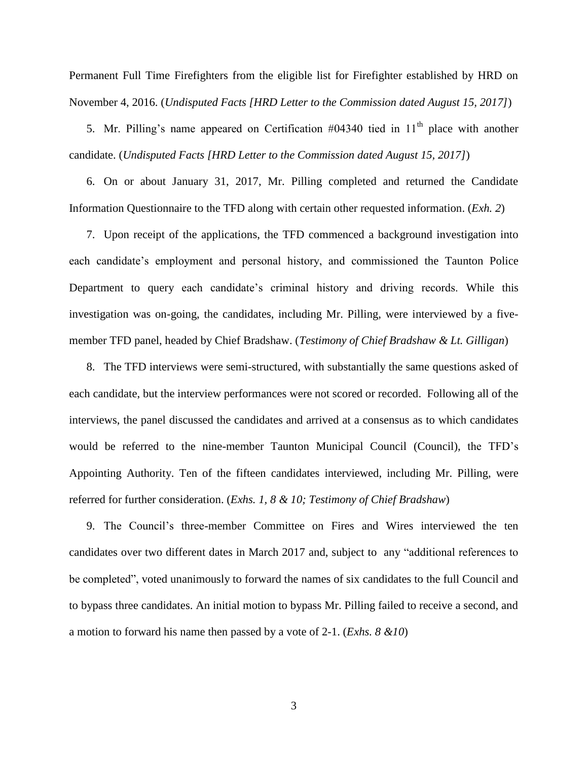Permanent Full Time Firefighters from the eligible list for Firefighter established by HRD on November 4, 2016. (*Undisputed Facts [HRD Letter to the Commission dated August 15, 2017]*)

5. Mr. Pilling's name appeared on Certification  $\#04340$  tied in  $11<sup>th</sup>$  place with another candidate. (*Undisputed Facts [HRD Letter to the Commission dated August 15, 2017]*)

6. On or about January 31, 2017, Mr. Pilling completed and returned the Candidate Information Questionnaire to the TFD along with certain other requested information. (*Exh. 2*)

7. Upon receipt of the applications, the TFD commenced a background investigation into each candidate's employment and personal history, and commissioned the Taunton Police Department to query each candidate's criminal history and driving records. While this investigation was on-going, the candidates, including Mr. Pilling, were interviewed by a fivemember TFD panel, headed by Chief Bradshaw. (*Testimony of Chief Bradshaw & Lt. Gilligan*)

8. The TFD interviews were semi-structured, with substantially the same questions asked of each candidate, but the interview performances were not scored or recorded. Following all of the interviews, the panel discussed the candidates and arrived at a consensus as to which candidates would be referred to the nine-member Taunton Municipal Council (Council), the TFD's Appointing Authority. Ten of the fifteen candidates interviewed, including Mr. Pilling, were referred for further consideration. (*Exhs. 1, 8 & 10; Testimony of Chief Bradshaw*)

9. The Council's three-member Committee on Fires and Wires interviewed the ten candidates over two different dates in March 2017 and, subject to any "additional references to be completed", voted unanimously to forward the names of six candidates to the full Council and to bypass three candidates. An initial motion to bypass Mr. Pilling failed to receive a second, and a motion to forward his name then passed by a vote of 2-1. (*Exhs. 8 &10*)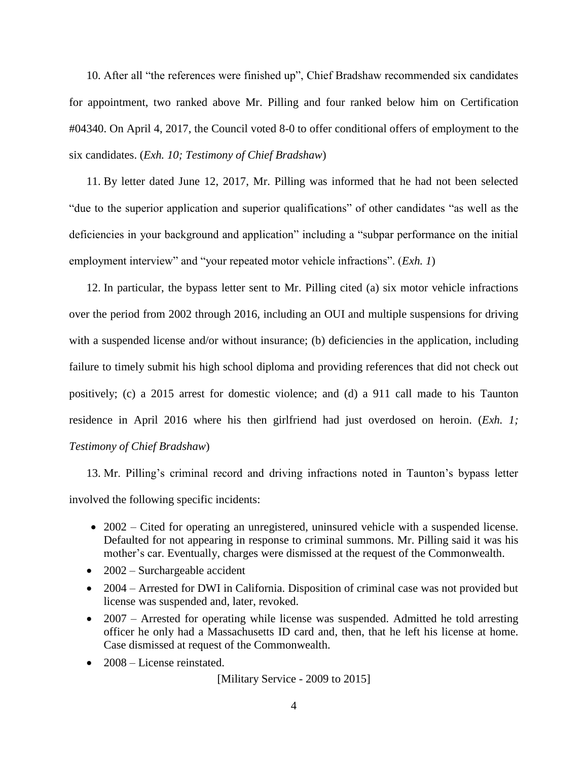10. After all "the references were finished up", Chief Bradshaw recommended six candidates for appointment, two ranked above Mr. Pilling and four ranked below him on Certification #04340. On April 4, 2017, the Council voted 8-0 to offer conditional offers of employment to the six candidates. (*Exh. 10; Testimony of Chief Bradshaw*)

11. By letter dated June 12, 2017, Mr. Pilling was informed that he had not been selected "due to the superior application and superior qualifications" of other candidates "as well as the deficiencies in your background and application" including a "subpar performance on the initial employment interview" and "your repeated motor vehicle infractions". (*Exh. 1*)

12. In particular, the bypass letter sent to Mr. Pilling cited (a) six motor vehicle infractions over the period from 2002 through 2016, including an OUI and multiple suspensions for driving with a suspended license and/or without insurance; (b) deficiencies in the application, including failure to timely submit his high school diploma and providing references that did not check out positively; (c) a 2015 arrest for domestic violence; and (d) a 911 call made to his Taunton residence in April 2016 where his then girlfriend had just overdosed on heroin. (*Exh. 1; Testimony of Chief Bradshaw*)

13. Mr. Pilling's criminal record and driving infractions noted in Taunton's bypass letter involved the following specific incidents:

- 2002 Cited for operating an unregistered, uninsured vehicle with a suspended license. Defaulted for not appearing in response to criminal summons. Mr. Pilling said it was his mother's car. Eventually, charges were dismissed at the request of the Commonwealth.
- 2002 Surchargeable accident
- 2004 Arrested for DWI in California. Disposition of criminal case was not provided but license was suspended and, later, revoked.
- 2007 Arrested for operating while license was suspended. Admitted he told arresting officer he only had a Massachusetts ID card and, then, that he left his license at home. Case dismissed at request of the Commonwealth.
- 2008 License reinstated.

[Military Service - 2009 to 2015]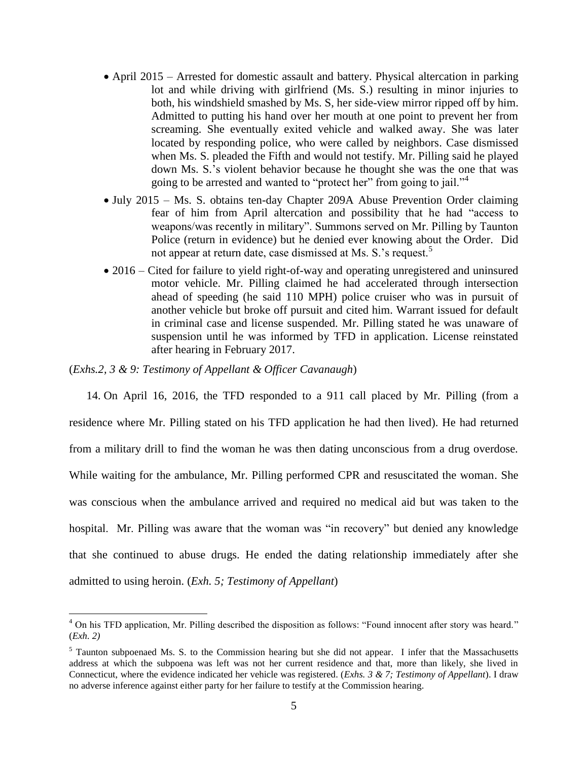- April 2015 Arrested for domestic assault and battery. Physical altercation in parking lot and while driving with girlfriend (Ms. S.) resulting in minor injuries to both, his windshield smashed by Ms. S, her side-view mirror ripped off by him. Admitted to putting his hand over her mouth at one point to prevent her from screaming. She eventually exited vehicle and walked away. She was later located by responding police, who were called by neighbors. Case dismissed when Ms. S. pleaded the Fifth and would not testify. Mr. Pilling said he played down Ms. S.'s violent behavior because he thought she was the one that was going to be arrested and wanted to "protect her" from going to jail."<sup>4</sup>
- July 2015 Ms. S. obtains ten-day Chapter 209A Abuse Prevention Order claiming fear of him from April altercation and possibility that he had "access to weapons/was recently in military". Summons served on Mr. Pilling by Taunton Police (return in evidence) but he denied ever knowing about the Order. Did not appear at return date, case dismissed at Ms. S.'s request.<sup>5</sup>
- 2016 Cited for failure to yield right-of-way and operating unregistered and uninsured motor vehicle. Mr. Pilling claimed he had accelerated through intersection ahead of speeding (he said 110 MPH) police cruiser who was in pursuit of another vehicle but broke off pursuit and cited him. Warrant issued for default in criminal case and license suspended. Mr. Pilling stated he was unaware of suspension until he was informed by TFD in application. License reinstated after hearing in February 2017.

(*Exhs.2, 3 & 9: Testimony of Appellant & Officer Cavanaugh*)

 $\overline{a}$ 

14. On April 16, 2016, the TFD responded to a 911 call placed by Mr. Pilling (from a residence where Mr. Pilling stated on his TFD application he had then lived). He had returned from a military drill to find the woman he was then dating unconscious from a drug overdose. While waiting for the ambulance, Mr. Pilling performed CPR and resuscitated the woman. She was conscious when the ambulance arrived and required no medical aid but was taken to the hospital. Mr. Pilling was aware that the woman was "in recovery" but denied any knowledge that she continued to abuse drugs. He ended the dating relationship immediately after she admitted to using heroin. (*Exh. 5; Testimony of Appellant*)

<sup>&</sup>lt;sup>4</sup> On his TFD application, Mr. Pilling described the disposition as follows: "Found innocent after story was heard." (*Exh. 2)*

<sup>&</sup>lt;sup>5</sup> Taunton subpoenaed Ms. S. to the Commission hearing but she did not appear. I infer that the Massachusetts address at which the subpoena was left was not her current residence and that, more than likely, she lived in Connecticut, where the evidence indicated her vehicle was registered. (*Exhs. 3 & 7; Testimony of Appellant*). I draw no adverse inference against either party for her failure to testify at the Commission hearing.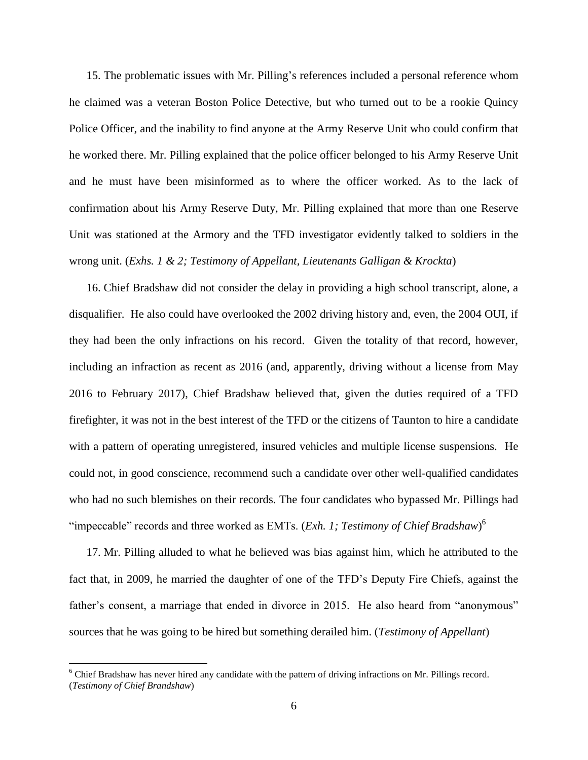15. The problematic issues with Mr. Pilling's references included a personal reference whom he claimed was a veteran Boston Police Detective, but who turned out to be a rookie Quincy Police Officer, and the inability to find anyone at the Army Reserve Unit who could confirm that he worked there. Mr. Pilling explained that the police officer belonged to his Army Reserve Unit and he must have been misinformed as to where the officer worked. As to the lack of confirmation about his Army Reserve Duty, Mr. Pilling explained that more than one Reserve Unit was stationed at the Armory and the TFD investigator evidently talked to soldiers in the wrong unit. (*Exhs. 1 & 2; Testimony of Appellant, Lieutenants Galligan & Krockta*)

16. Chief Bradshaw did not consider the delay in providing a high school transcript, alone, a disqualifier. He also could have overlooked the 2002 driving history and, even, the 2004 OUI, if they had been the only infractions on his record. Given the totality of that record, however, including an infraction as recent as 2016 (and, apparently, driving without a license from May 2016 to February 2017), Chief Bradshaw believed that, given the duties required of a TFD firefighter, it was not in the best interest of the TFD or the citizens of Taunton to hire a candidate with a pattern of operating unregistered, insured vehicles and multiple license suspensions. He could not, in good conscience, recommend such a candidate over other well-qualified candidates who had no such blemishes on their records. The four candidates who bypassed Mr. Pillings had "impeccable" records and three worked as EMTs. (*Exh. 1; Testimony of Chief Bradshaw*) 6

17. Mr. Pilling alluded to what he believed was bias against him, which he attributed to the fact that, in 2009, he married the daughter of one of the TFD's Deputy Fire Chiefs, against the father's consent, a marriage that ended in divorce in 2015. He also heard from "anonymous" sources that he was going to be hired but something derailed him. (*Testimony of Appellant*)

 $\overline{a}$ 

 $6$  Chief Bradshaw has never hired any candidate with the pattern of driving infractions on Mr. Pillings record. (*Testimony of Chief Brandshaw*)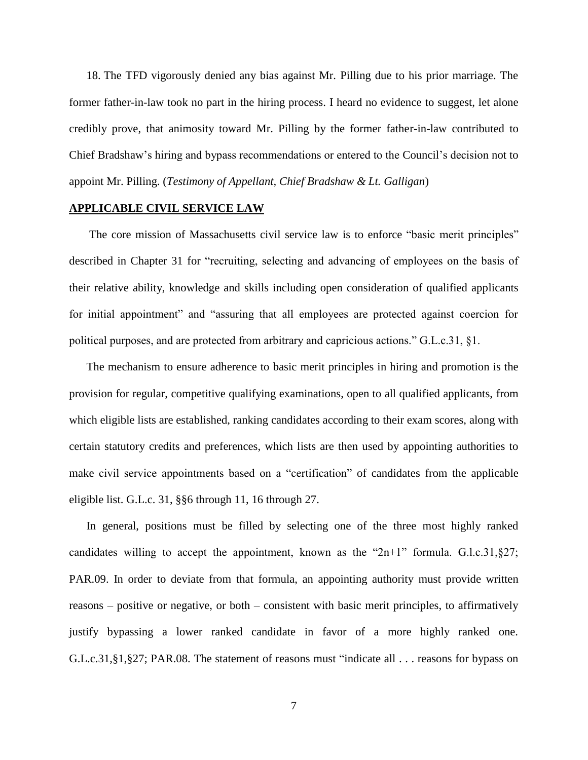18. The TFD vigorously denied any bias against Mr. Pilling due to his prior marriage. The former father-in-law took no part in the hiring process. I heard no evidence to suggest, let alone credibly prove, that animosity toward Mr. Pilling by the former father-in-law contributed to Chief Bradshaw's hiring and bypass recommendations or entered to the Council's decision not to appoint Mr. Pilling. (*Testimony of Appellant, Chief Bradshaw & Lt. Galligan*)

#### **APPLICABLE CIVIL SERVICE LAW**

The core mission of Massachusetts civil service law is to enforce "basic merit principles" described in Chapter 31 for "recruiting, selecting and advancing of employees on the basis of their relative ability, knowledge and skills including open consideration of qualified applicants for initial appointment" and "assuring that all employees are protected against coercion for political purposes, and are protected from arbitrary and capricious actions." G.L.c.31, §1.

The mechanism to ensure adherence to basic merit principles in hiring and promotion is the provision for regular, competitive qualifying examinations, open to all qualified applicants, from which eligible lists are established, ranking candidates according to their exam scores, along with certain statutory credits and preferences, which lists are then used by appointing authorities to make civil service appointments based on a "certification" of candidates from the applicable eligible list. G.L.c. 31, §§6 through 11, 16 through 27.

In general, positions must be filled by selecting one of the three most highly ranked candidates willing to accept the appointment, known as the " $2n+1$ " formula. G.l.c.31, §27; PAR.09. In order to deviate from that formula, an appointing authority must provide written reasons – positive or negative, or both – consistent with basic merit principles, to affirmatively justify bypassing a lower ranked candidate in favor of a more highly ranked one. G.L.c.31,§1,§27; PAR.08. The statement of reasons must "indicate all . . . reasons for bypass on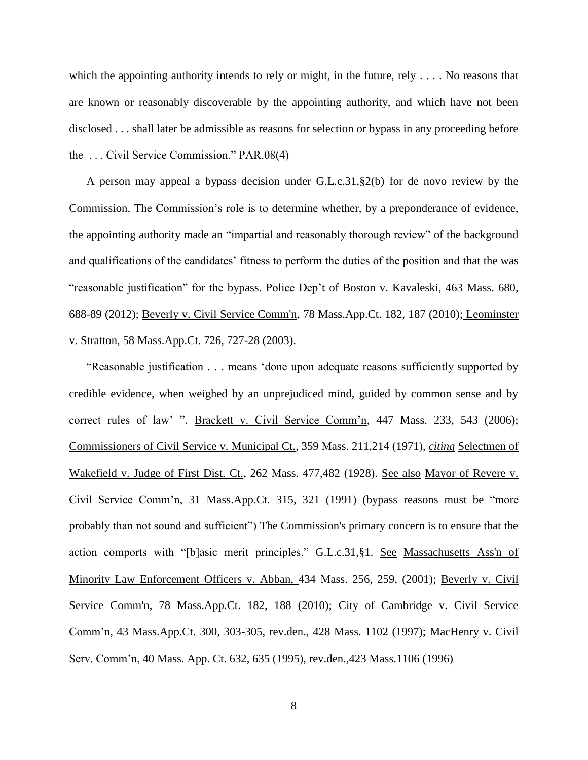which the appointing authority intends to rely or might, in the future, rely  $\dots$ . No reasons that are known or reasonably discoverable by the appointing authority, and which have not been disclosed . . . shall later be admissible as reasons for selection or bypass in any proceeding before the . . . Civil Service Commission." PAR.08(4)

A person may appeal a bypass decision under G.L.c.31,§2(b) for de novo review by the Commission. The Commission's role is to determine whether, by a preponderance of evidence, the appointing authority made an "impartial and reasonably thorough review" of the background and qualifications of the candidates' fitness to perform the duties of the position and that the was "reasonable justification" for the bypass. Police Dep't of Boston v. Kavaleski, 463 Mass. 680, 688-89 (2012); [Beverly v. Civil Service Comm'n, 78 Mass.App.Ct. 182, 187 \(2010\);](http://web2.westlaw.com/find/default.wl?mt=Massachusetts&db=578&rs=WLW15.04&tc=-1&rp=%2ffind%2fdefault.wl&findtype=Y&ordoc=2029136022&serialnum=2023501172&vr=2.0&fn=_top&sv=Split&tf=-1&pbc=70F732C1&utid=1) Leominster v. Stratton, 58 Mass.App.Ct. 726, 727-28 (2003).

"Reasonable justification . . . means 'done upon adequate reasons sufficiently supported by credible evidence, when weighed by an unprejudiced mind, guided by common sense and by correct rules of law' ". Brackett v. Civil Service Comm'n, 447 Mass. 233, 543 (2006); Commissioners of Civil Service v. Municipal Ct., 359 Mass. 211,214 (1971), *citing* Selectmen of Wakefield v. Judge of First Dist. Ct., 262 Mass. 477,482 (1928). See also Mayor of Revere v. Civil Service Comm'n, 31 Mass.App.Ct. 315, 321 (1991) (bypass reasons must be "more probably than not sound and sufficient") The Commission's primary concern is to ensure that the action comports with "[b]asic merit principles." [G.L.c.31,§1.](http://web2.westlaw.com/find/default.wl?mt=Massachusetts&db=1000042&rs=WLW15.04&docname=MAST31S1&rp=%2ffind%2fdefault.wl&findtype=L&ordoc=2029136022&tc=-1&vr=2.0&fn=_top&sv=Split&tf=-1&pbc=70F732C1&utid=1) See [Massachusetts Ass'n of](http://web2.westlaw.com/find/default.wl?mt=Massachusetts&db=578&rs=WLW15.04&tc=-1&rp=%2ffind%2fdefault.wl&findtype=Y&ordoc=2029136022&serialnum=2001441097&vr=2.0&fn=_top&sv=Split&tf=-1&pbc=70F732C1&utid=1)  [Minority Law Enforcement Officers v. Abban,](http://web2.westlaw.com/find/default.wl?mt=Massachusetts&db=578&rs=WLW15.04&tc=-1&rp=%2ffind%2fdefault.wl&findtype=Y&ordoc=2029136022&serialnum=2001441097&vr=2.0&fn=_top&sv=Split&tf=-1&pbc=70F732C1&utid=1) 434 Mass. 256, 259, (2001); [Beverly v. Civil](http://web2.westlaw.com/find/default.wl?mt=Massachusetts&db=578&rs=WLW15.04&tc=-1&rp=%2ffind%2fdefault.wl&findtype=Y&ordoc=2029136022&serialnum=2023501172&vr=2.0&fn=_top&sv=Split&tf=-1&pbc=70F732C1&utid=1)  [Service Comm'n, 78 Mass.App.Ct. 182, 188 \(2010\);](http://web2.westlaw.com/find/default.wl?mt=Massachusetts&db=578&rs=WLW15.04&tc=-1&rp=%2ffind%2fdefault.wl&findtype=Y&ordoc=2029136022&serialnum=2023501172&vr=2.0&fn=_top&sv=Split&tf=-1&pbc=70F732C1&utid=1) City of Cambridge v. Civil Service Comm'n, 43 Mass.App.Ct. 300, 303-305, rev.den., 428 Mass. 1102 (1997); MacHenry v. Civil Serv. Comm'n, 40 Mass. App. Ct. 632, 635 (1995), rev.den.,423 Mass.1106 (1996)

8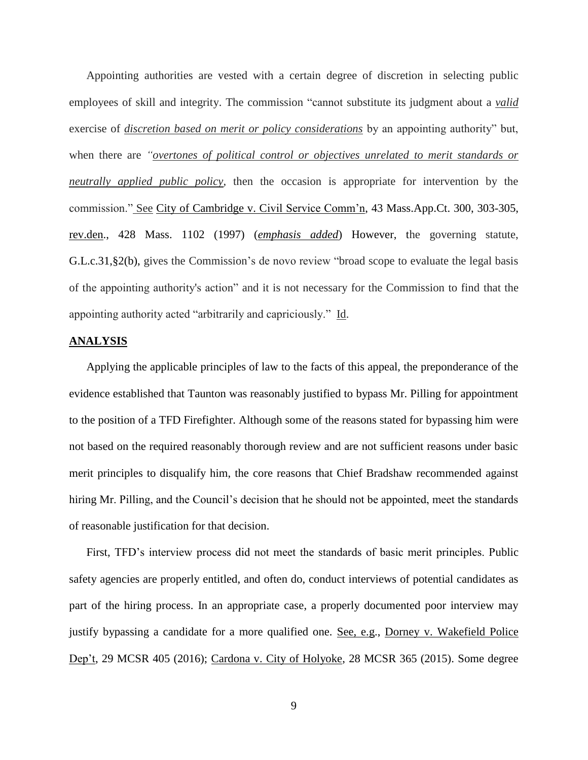Appointing authorities are vested with a certain degree of discretion in selecting public employees of skill and integrity. The commission "cannot substitute its judgment about a *valid* exercise of *discretion based on merit or policy considerations* by an appointing authority" but, when there are *"overtones of political control or objectives unrelated to merit standards or neutrally applied public policy*, then the occasion is appropriate for intervention by the commission." See City of Cambridge v. Civil Service Comm'n, 43 Mass.App.Ct. 300, 303-305, rev.den., 428 Mass. 1102 (1997) (*emphasis added*) However, the governing statute, [G.L.c.31,§2\(b\),](https://1.next.westlaw.com/Link/Document/FullText?findType=L&pubNum=1000042&cite=MAST31S2&originatingDoc=Ib21af0ded3bd11d99439b076ef9ec4de&refType=LQ&originationContext=document&transitionType=DocumentItem&contextData=(sc.History*oc.UserEnteredCitation)) gives the Commission's de novo review "broad scope to evaluate the legal basis of the appointing authority's action" and it is not necessary for the Commission to find that the appointing authority acted "arbitrarily and capriciously." Id.

# **ANALYSIS**

Applying the applicable principles of law to the facts of this appeal, the preponderance of the evidence established that Taunton was reasonably justified to bypass Mr. Pilling for appointment to the position of a TFD Firefighter. Although some of the reasons stated for bypassing him were not based on the required reasonably thorough review and are not sufficient reasons under basic merit principles to disqualify him, the core reasons that Chief Bradshaw recommended against hiring Mr. Pilling, and the Council's decision that he should not be appointed, meet the standards of reasonable justification for that decision.

First, TFD's interview process did not meet the standards of basic merit principles. Public safety agencies are properly entitled, and often do, conduct interviews of potential candidates as part of the hiring process. In an appropriate case, a properly documented poor interview may justify bypassing a candidate for a more qualified one. See, e.g., Dorney v. Wakefield Police Dep't, 29 MCSR 405 (2016); Cardona v. City of Holyoke, 28 MCSR 365 (2015). Some degree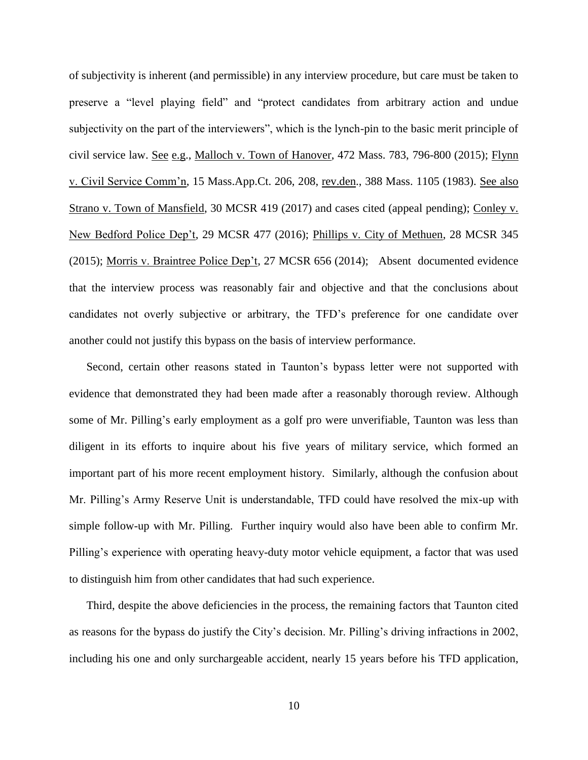of subjectivity is inherent (and permissible) in any interview procedure, but care must be taken to preserve a "level playing field" and "protect candidates from arbitrary action and undue subjectivity on the part of the interviewers", which is the lynch-pin to the basic merit principle of civil service law. See e.g., Malloch v. Town of Hanover, 472 Mass. 783, 796-800 (2015); Flynn v. Civil Service Comm'n, 15 Mass.App.Ct. 206, 208, rev.den., 388 Mass. 1105 (1983). See also Strano v. Town of Mansfield, 30 MCSR 419 (2017) and cases cited (appeal pending); Conley v. New Bedford Police Dep't, 29 MCSR 477 (2016); Phillips v. City of Methuen, 28 MCSR 345 (2015); Morris v. Braintree Police Dep't, 27 MCSR 656 (2014); Absent documented evidence that the interview process was reasonably fair and objective and that the conclusions about candidates not overly subjective or arbitrary, the TFD's preference for one candidate over another could not justify this bypass on the basis of interview performance.

Second, certain other reasons stated in Taunton's bypass letter were not supported with evidence that demonstrated they had been made after a reasonably thorough review. Although some of Mr. Pilling's early employment as a golf pro were unverifiable, Taunton was less than diligent in its efforts to inquire about his five years of military service, which formed an important part of his more recent employment history. Similarly, although the confusion about Mr. Pilling's Army Reserve Unit is understandable, TFD could have resolved the mix-up with simple follow-up with Mr. Pilling. Further inquiry would also have been able to confirm Mr. Pilling's experience with operating heavy-duty motor vehicle equipment, a factor that was used to distinguish him from other candidates that had such experience.

Third, despite the above deficiencies in the process, the remaining factors that Taunton cited as reasons for the bypass do justify the City's decision. Mr. Pilling's driving infractions in 2002, including his one and only surchargeable accident, nearly 15 years before his TFD application,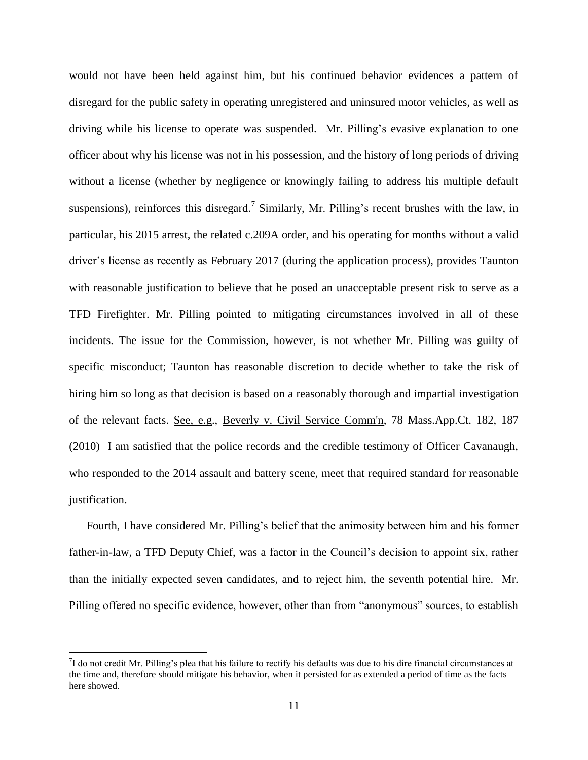would not have been held against him, but his continued behavior evidences a pattern of disregard for the public safety in operating unregistered and uninsured motor vehicles, as well as driving while his license to operate was suspended. Mr. Pilling's evasive explanation to one officer about why his license was not in his possession, and the history of long periods of driving without a license (whether by negligence or knowingly failing to address his multiple default suspensions), reinforces this disregard.<sup>7</sup> Similarly, Mr. Pilling's recent brushes with the law, in particular, his 2015 arrest, the related c.209A order, and his operating for months without a valid driver's license as recently as February 2017 (during the application process), provides Taunton with reasonable justification to believe that he posed an unacceptable present risk to serve as a TFD Firefighter. Mr. Pilling pointed to mitigating circumstances involved in all of these incidents. The issue for the Commission, however, is not whether Mr. Pilling was guilty of specific misconduct; Taunton has reasonable discretion to decide whether to take the risk of hiring him so long as that decision is based on a reasonably thorough and impartial investigation of the relevant facts. See, e.g., [Beverly v. Civil Service Comm'n, 78 Mass.App.Ct. 182, 187](http://web2.westlaw.com/find/default.wl?mt=Massachusetts&db=578&rs=WLW15.04&tc=-1&rp=%2ffind%2fdefault.wl&findtype=Y&ordoc=2029136022&serialnum=2023501172&vr=2.0&fn=_top&sv=Split&tf=-1&pbc=70F732C1&utid=1)  [\(2010\)](http://web2.westlaw.com/find/default.wl?mt=Massachusetts&db=578&rs=WLW15.04&tc=-1&rp=%2ffind%2fdefault.wl&findtype=Y&ordoc=2029136022&serialnum=2023501172&vr=2.0&fn=_top&sv=Split&tf=-1&pbc=70F732C1&utid=1) I am satisfied that the police records and the credible testimony of Officer Cavanaugh, who responded to the 2014 assault and battery scene, meet that required standard for reasonable justification.

Fourth, I have considered Mr. Pilling's belief that the animosity between him and his former father-in-law, a TFD Deputy Chief, was a factor in the Council's decision to appoint six, rather than the initially expected seven candidates, and to reject him, the seventh potential hire. Mr. Pilling offered no specific evidence, however, other than from "anonymous" sources, to establish

 $\overline{a}$ 

 $7$ I do not credit Mr. Pilling's plea that his failure to rectify his defaults was due to his dire financial circumstances at the time and, therefore should mitigate his behavior, when it persisted for as extended a period of time as the facts here showed.